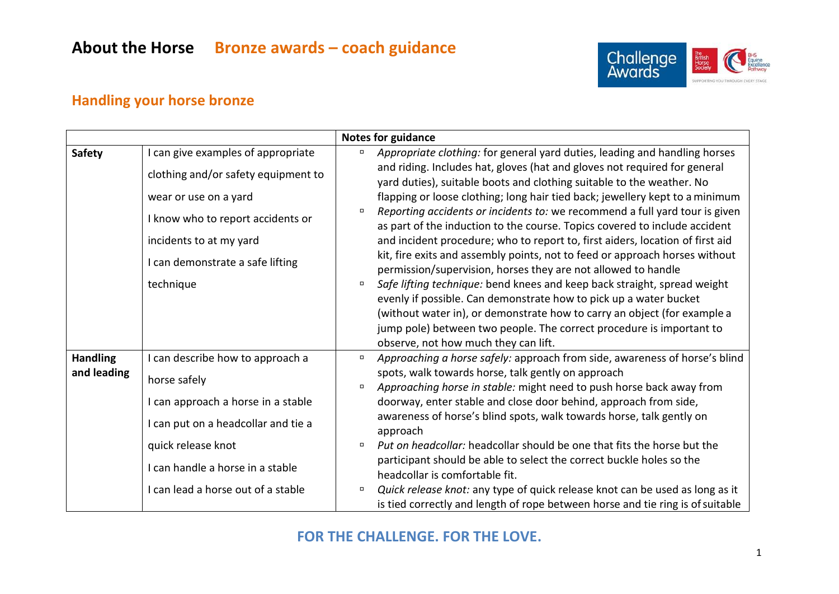

### **Handling your horse bronze**

|                 |                                     | <b>Notes for guidance</b>                                                                                                                                                                |
|-----------------|-------------------------------------|------------------------------------------------------------------------------------------------------------------------------------------------------------------------------------------|
| <b>Safety</b>   | I can give examples of appropriate  | Appropriate clothing: for general yard duties, leading and handling horses<br>$\Box$                                                                                                     |
|                 | clothing and/or safety equipment to | and riding. Includes hat, gloves (hat and gloves not required for general<br>yard duties), suitable boots and clothing suitable to the weather. No                                       |
|                 | wear or use on a yard               | flapping or loose clothing; long hair tied back; jewellery kept to a minimum                                                                                                             |
|                 | I know who to report accidents or   | Reporting accidents or incidents to: we recommend a full yard tour is given<br>$\Box$<br>as part of the induction to the course. Topics covered to include accident                      |
|                 | incidents to at my yard             | and incident procedure; who to report to, first aiders, location of first aid                                                                                                            |
|                 | I can demonstrate a safe lifting    | kit, fire exits and assembly points, not to feed or approach horses without<br>permission/supervision, horses they are not allowed to handle                                             |
|                 | technique                           | Safe lifting technique: bend knees and keep back straight, spread weight<br>$\Box$<br>evenly if possible. Can demonstrate how to pick up a water bucket                                  |
|                 |                                     | (without water in), or demonstrate how to carry an object (for example a<br>jump pole) between two people. The correct procedure is important to<br>observe, not how much they can lift. |
| <b>Handling</b> | I can describe how to approach a    | Approaching a horse safely: approach from side, awareness of horse's blind<br>$\Box$                                                                                                     |
| and leading     | horse safely                        | spots, walk towards horse, talk gently on approach<br>Approaching horse in stable: might need to push horse back away from<br>$\Box$                                                     |
|                 | I can approach a horse in a stable  | doorway, enter stable and close door behind, approach from side,                                                                                                                         |
|                 | I can put on a headcollar and tie a | awareness of horse's blind spots, walk towards horse, talk gently on<br>approach                                                                                                         |
|                 | quick release knot                  | Put on headcollar: headcollar should be one that fits the horse but the<br>$\Box$                                                                                                        |
|                 | I can handle a horse in a stable    | participant should be able to select the correct buckle holes so the<br>headcollar is comfortable fit.                                                                                   |
|                 | I can lead a horse out of a stable  | Quick release knot: any type of quick release knot can be used as long as it<br>$\Box$<br>is tied correctly and length of rope between horse and tie ring is of suitable                 |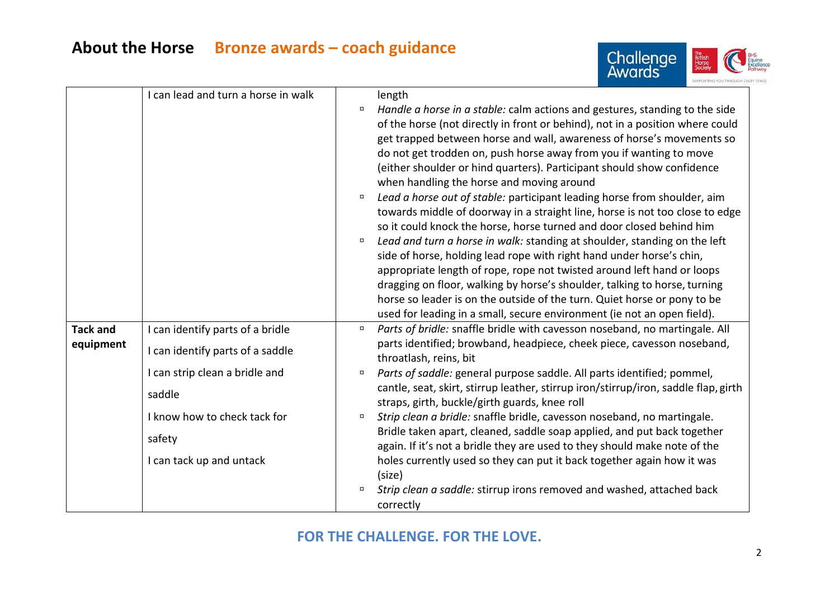

|                 | I can lead and turn a horse in walk |                       | length                                                                                                                                                                                                                                                                                                                                                                                                                                                                                                                                                                                                                                                                                                                                                                                                                                                                                                                                                                             |
|-----------------|-------------------------------------|-----------------------|------------------------------------------------------------------------------------------------------------------------------------------------------------------------------------------------------------------------------------------------------------------------------------------------------------------------------------------------------------------------------------------------------------------------------------------------------------------------------------------------------------------------------------------------------------------------------------------------------------------------------------------------------------------------------------------------------------------------------------------------------------------------------------------------------------------------------------------------------------------------------------------------------------------------------------------------------------------------------------|
|                 |                                     | α<br>$\Box$<br>$\Box$ | Handle a horse in a stable: calm actions and gestures, standing to the side<br>of the horse (not directly in front or behind), not in a position where could<br>get trapped between horse and wall, awareness of horse's movements so<br>do not get trodden on, push horse away from you if wanting to move<br>(either shoulder or hind quarters). Participant should show confidence<br>when handling the horse and moving around<br>Lead a horse out of stable: participant leading horse from shoulder, aim<br>towards middle of doorway in a straight line, horse is not too close to edge<br>so it could knock the horse, horse turned and door closed behind him<br>Lead and turn a horse in walk: standing at shoulder, standing on the left<br>side of horse, holding lead rope with right hand under horse's chin,<br>appropriate length of rope, rope not twisted around left hand or loops<br>dragging on floor, walking by horse's shoulder, talking to horse, turning |
|                 |                                     |                       | horse so leader is on the outside of the turn. Quiet horse or pony to be<br>used for leading in a small, secure environment (ie not an open field).                                                                                                                                                                                                                                                                                                                                                                                                                                                                                                                                                                                                                                                                                                                                                                                                                                |
| <b>Tack and</b> | I can identify parts of a bridle    | $\Box$                | Parts of bridle: snaffle bridle with cavesson noseband, no martingale. All                                                                                                                                                                                                                                                                                                                                                                                                                                                                                                                                                                                                                                                                                                                                                                                                                                                                                                         |
| equipment       | I can identify parts of a saddle    |                       | parts identified; browband, headpiece, cheek piece, cavesson noseband,<br>throatlash, reins, bit                                                                                                                                                                                                                                                                                                                                                                                                                                                                                                                                                                                                                                                                                                                                                                                                                                                                                   |
|                 | I can strip clean a bridle and      | $\Box$                | Parts of saddle: general purpose saddle. All parts identified; pommel,                                                                                                                                                                                                                                                                                                                                                                                                                                                                                                                                                                                                                                                                                                                                                                                                                                                                                                             |
|                 | saddle                              |                       | cantle, seat, skirt, stirrup leather, stirrup iron/stirrup/iron, saddle flap, girth<br>straps, girth, buckle/girth guards, knee roll                                                                                                                                                                                                                                                                                                                                                                                                                                                                                                                                                                                                                                                                                                                                                                                                                                               |
|                 | I know how to check tack for        | $\Box$                | Strip clean a bridle: snaffle bridle, cavesson noseband, no martingale.                                                                                                                                                                                                                                                                                                                                                                                                                                                                                                                                                                                                                                                                                                                                                                                                                                                                                                            |
|                 | safety                              |                       | Bridle taken apart, cleaned, saddle soap applied, and put back together<br>again. If it's not a bridle they are used to they should make note of the                                                                                                                                                                                                                                                                                                                                                                                                                                                                                                                                                                                                                                                                                                                                                                                                                               |
|                 | I can tack up and untack            |                       | holes currently used so they can put it back together again how it was<br>(size)                                                                                                                                                                                                                                                                                                                                                                                                                                                                                                                                                                                                                                                                                                                                                                                                                                                                                                   |
|                 |                                     | $\Box$                | Strip clean a saddle: stirrup irons removed and washed, attached back<br>correctly                                                                                                                                                                                                                                                                                                                                                                                                                                                                                                                                                                                                                                                                                                                                                                                                                                                                                                 |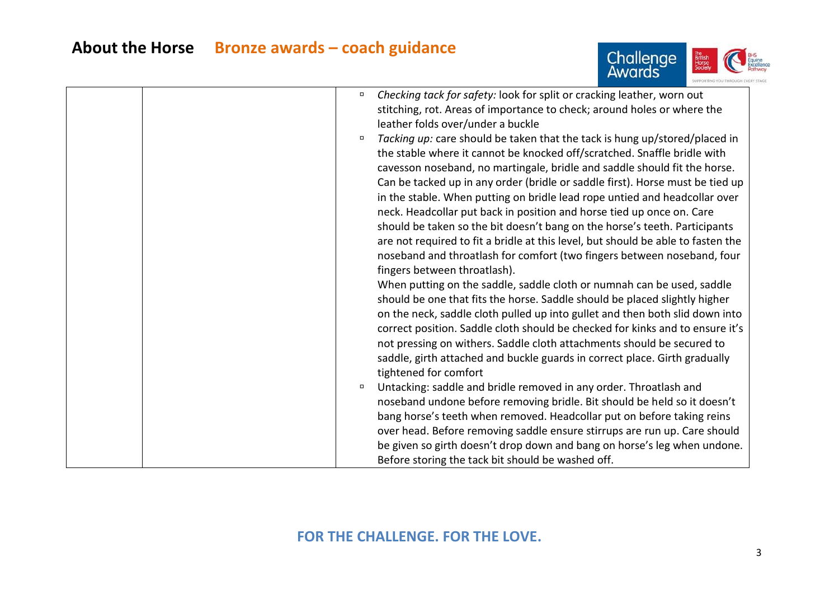

| Checking tack for safety: look for split or cracking leather, worn out<br>$\Box$     |
|--------------------------------------------------------------------------------------|
| stitching, rot. Areas of importance to check; around holes or where the              |
| leather folds over/under a buckle                                                    |
| Tacking up: care should be taken that the tack is hung up/stored/placed in<br>$\Box$ |
| the stable where it cannot be knocked off/scratched. Snaffle bridle with             |
| cavesson noseband, no martingale, bridle and saddle should fit the horse.            |
| Can be tacked up in any order (bridle or saddle first). Horse must be tied up        |
| in the stable. When putting on bridle lead rope untied and headcollar over           |
| neck. Headcollar put back in position and horse tied up once on. Care                |
| should be taken so the bit doesn't bang on the horse's teeth. Participants           |
| are not required to fit a bridle at this level, but should be able to fasten the     |
| noseband and throatlash for comfort (two fingers between noseband, four              |
| fingers between throatlash).                                                         |
| When putting on the saddle, saddle cloth or numnah can be used, saddle               |
| should be one that fits the horse. Saddle should be placed slightly higher           |
| on the neck, saddle cloth pulled up into gullet and then both slid down into         |
| correct position. Saddle cloth should be checked for kinks and to ensure it's        |
| not pressing on withers. Saddle cloth attachments should be secured to               |
| saddle, girth attached and buckle guards in correct place. Girth gradually           |
| tightened for comfort                                                                |
| Untacking: saddle and bridle removed in any order. Throatlash and<br>$\Box$          |
| noseband undone before removing bridle. Bit should be held so it doesn't             |
| bang horse's teeth when removed. Headcollar put on before taking reins               |
| over head. Before removing saddle ensure stirrups are run up. Care should            |
| be given so girth doesn't drop down and bang on horse's leg when undone.             |
| Before storing the tack bit should be washed off.                                    |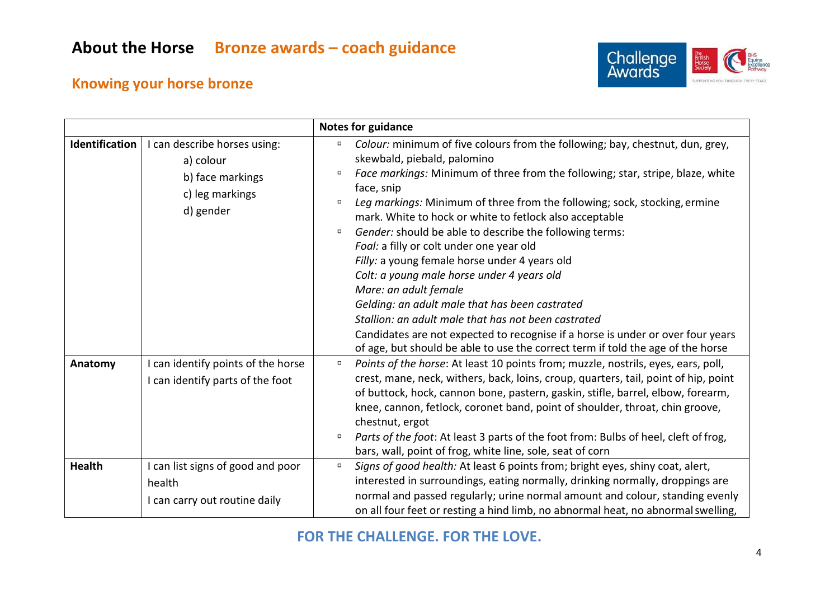

#### **Knowing your horse bronze**

|                |                                                                                               | <b>Notes for guidance</b>                                                                                                                                                                                                                                                                                                                                                                                                                                                                                                                                                                                                                                                                                                                                                                                                                                                                        |  |
|----------------|-----------------------------------------------------------------------------------------------|--------------------------------------------------------------------------------------------------------------------------------------------------------------------------------------------------------------------------------------------------------------------------------------------------------------------------------------------------------------------------------------------------------------------------------------------------------------------------------------------------------------------------------------------------------------------------------------------------------------------------------------------------------------------------------------------------------------------------------------------------------------------------------------------------------------------------------------------------------------------------------------------------|--|
| Identification | I can describe horses using:<br>a) colour<br>b) face markings<br>c) leg markings<br>d) gender | Colour: minimum of five colours from the following; bay, chestnut, dun, grey,<br>$\Box$<br>skewbald, piebald, palomino<br>Face markings: Minimum of three from the following; star, stripe, blaze, white<br>α<br>face, snip<br>Leg markings: Minimum of three from the following; sock, stocking, ermine<br>о<br>mark. White to hock or white to fetlock also acceptable<br>Gender: should be able to describe the following terms:<br>$\Box$<br>Foal: a filly or colt under one year old<br>Filly: a young female horse under 4 years old<br>Colt: a young male horse under 4 years old<br>Mare: an adult female<br>Gelding: an adult male that has been castrated<br>Stallion: an adult male that has not been castrated<br>Candidates are not expected to recognise if a horse is under or over four years<br>of age, but should be able to use the correct term if told the age of the horse |  |
| Anatomy        | I can identify points of the horse<br>I can identify parts of the foot                        | Points of the horse: At least 10 points from; muzzle, nostrils, eyes, ears, poll,<br>$\Box$<br>crest, mane, neck, withers, back, loins, croup, quarters, tail, point of hip, point<br>of buttock, hock, cannon bone, pastern, gaskin, stifle, barrel, elbow, forearm,<br>knee, cannon, fetlock, coronet band, point of shoulder, throat, chin groove,<br>chestnut, ergot<br>Parts of the foot: At least 3 parts of the foot from: Bulbs of heel, cleft of frog,<br>$\Box$<br>bars, wall, point of frog, white line, sole, seat of corn                                                                                                                                                                                                                                                                                                                                                           |  |
| <b>Health</b>  | I can list signs of good and poor<br>health<br>I can carry out routine daily                  | Signs of good health: At least 6 points from; bright eyes, shiny coat, alert,<br>$\Box$<br>interested in surroundings, eating normally, drinking normally, droppings are<br>normal and passed regularly; urine normal amount and colour, standing evenly<br>on all four feet or resting a hind limb, no abnormal heat, no abnormal swelling,                                                                                                                                                                                                                                                                                                                                                                                                                                                                                                                                                     |  |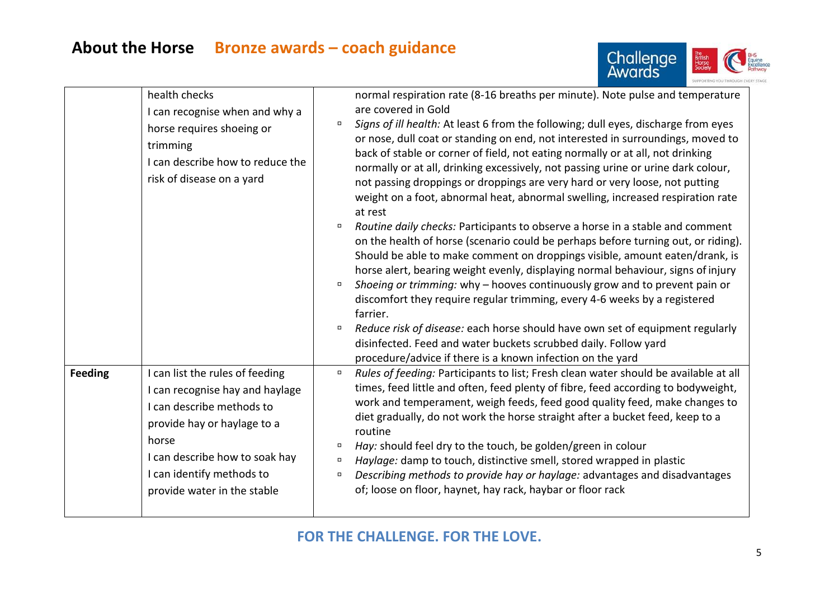

|         | I can recognise when and why a<br>horse requires shoeing or<br>trimming<br>I can describe how to reduce the<br>risk of disease on a yard                                                                                              | are covered in Gold<br>Signs of ill health: At least 6 from the following; dull eyes, discharge from eyes<br>$\Box$<br>or nose, dull coat or standing on end, not interested in surroundings, moved to<br>back of stable or corner of field, not eating normally or at all, not drinking<br>normally or at all, drinking excessively, not passing urine or urine dark colour,<br>not passing droppings or droppings are very hard or very loose, not putting<br>weight on a foot, abnormal heat, abnormal swelling, increased respiration rate<br>at rest<br>Routine daily checks: Participants to observe a horse in a stable and comment<br>on the health of horse (scenario could be perhaps before turning out, or riding).<br>Should be able to make comment on droppings visible, amount eaten/drank, is<br>horse alert, bearing weight evenly, displaying normal behaviour, signs of injury<br>Shoeing or trimming: why - hooves continuously grow and to prevent pain or<br>$\Box$<br>discomfort they require regular trimming, every 4-6 weeks by a registered<br>farrier.<br>Reduce risk of disease: each horse should have own set of equipment regularly<br>о<br>disinfected. Feed and water buckets scrubbed daily. Follow yard<br>procedure/advice if there is a known infection on the yard |  |
|---------|---------------------------------------------------------------------------------------------------------------------------------------------------------------------------------------------------------------------------------------|------------------------------------------------------------------------------------------------------------------------------------------------------------------------------------------------------------------------------------------------------------------------------------------------------------------------------------------------------------------------------------------------------------------------------------------------------------------------------------------------------------------------------------------------------------------------------------------------------------------------------------------------------------------------------------------------------------------------------------------------------------------------------------------------------------------------------------------------------------------------------------------------------------------------------------------------------------------------------------------------------------------------------------------------------------------------------------------------------------------------------------------------------------------------------------------------------------------------------------------------------------------------------------------------------------|--|
| Feeding | I can list the rules of feeding<br>I can recognise hay and haylage<br>I can describe methods to<br>provide hay or haylage to a<br>horse<br>I can describe how to soak hay<br>I can identify methods to<br>provide water in the stable | Rules of feeding: Participants to list; Fresh clean water should be available at all<br>$\Box$<br>times, feed little and often, feed plenty of fibre, feed according to bodyweight,<br>work and temperament, weigh feeds, feed good quality feed, make changes to<br>diet gradually, do not work the horse straight after a bucket feed, keep to a<br>routine<br>Hay: should feel dry to the touch, be golden/green in colour<br>о<br>Haylage: damp to touch, distinctive smell, stored wrapped in plastic<br>$\Box$<br>Describing methods to provide hay or haylage: advantages and disadvantages<br>$\Box$<br>of; loose on floor, haynet, hay rack, haybar or floor rack                                                                                                                                                                                                                                                                                                                                                                                                                                                                                                                                                                                                                                 |  |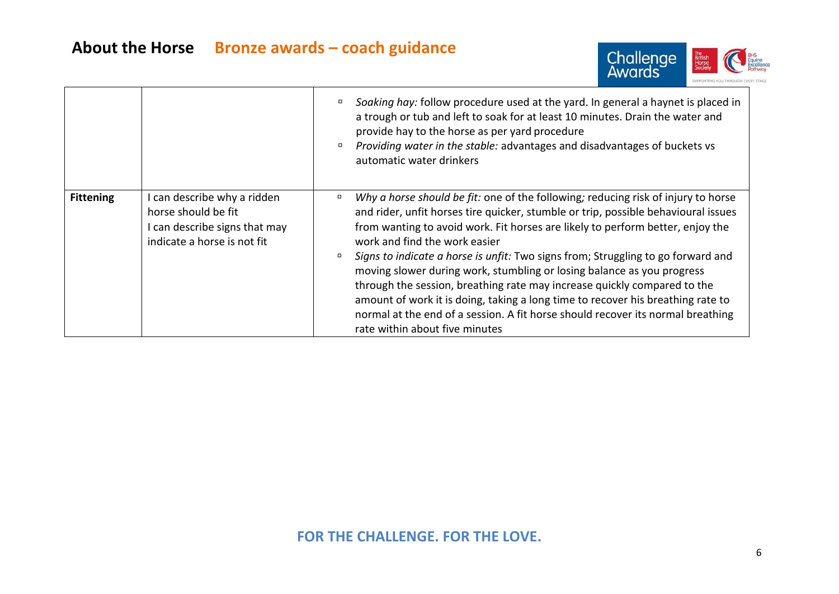

|                  |                                                                                                                    | Soaking hay: follow procedure used at the yard. In general a haynet is placed in<br>$\Box$<br>a trough or tub and left to soak for at least 10 minutes. Drain the water and<br>provide hay to the horse as per yard procedure<br>Providing water in the stable: advantages and disadvantages of buckets vs<br>0<br>automatic water drinkers                                                                                                                                                                                                                                                                                                                                                                                                            |
|------------------|--------------------------------------------------------------------------------------------------------------------|--------------------------------------------------------------------------------------------------------------------------------------------------------------------------------------------------------------------------------------------------------------------------------------------------------------------------------------------------------------------------------------------------------------------------------------------------------------------------------------------------------------------------------------------------------------------------------------------------------------------------------------------------------------------------------------------------------------------------------------------------------|
| <b>Fittening</b> | I can describe why a ridden<br>horse should be fit<br>I can describe signs that may<br>indicate a horse is not fit | Why a horse should be fit: one of the following; reducing risk of injury to horse<br>$\Box$<br>and rider, unfit horses tire quicker, stumble or trip, possible behavioural issues<br>from wanting to avoid work. Fit horses are likely to perform better, enjoy the<br>work and find the work easier<br>Signs to indicate a horse is unfit: Two signs from; Struggling to go forward and<br>moving slower during work, stumbling or losing balance as you progress<br>through the session, breathing rate may increase quickly compared to the<br>amount of work it is doing, taking a long time to recover his breathing rate to<br>normal at the end of a session. A fit horse should recover its normal breathing<br>rate within about five minutes |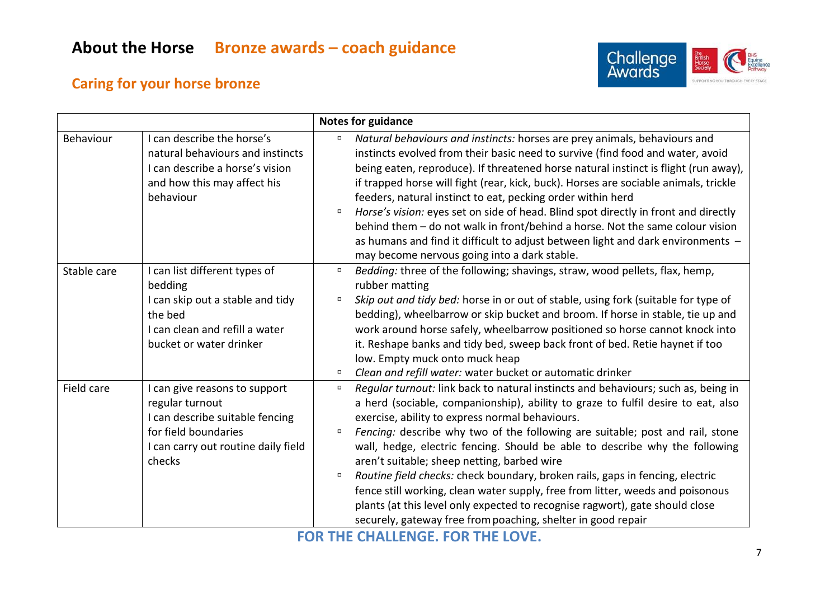

#### **Caring for your horse bronze**

|             |                                                                                                                                                              | <b>Notes for guidance</b>                                                                                                                                                                                                                                                                                                                                                                                                                                                                                                                                                                                                                                                                                                                                                                |
|-------------|--------------------------------------------------------------------------------------------------------------------------------------------------------------|------------------------------------------------------------------------------------------------------------------------------------------------------------------------------------------------------------------------------------------------------------------------------------------------------------------------------------------------------------------------------------------------------------------------------------------------------------------------------------------------------------------------------------------------------------------------------------------------------------------------------------------------------------------------------------------------------------------------------------------------------------------------------------------|
| Behaviour   | I can describe the horse's<br>natural behaviours and instincts<br>I can describe a horse's vision<br>and how this may affect his<br>behaviour                | Natural behaviours and instincts: horses are prey animals, behaviours and<br>$\Box$<br>instincts evolved from their basic need to survive (find food and water, avoid<br>being eaten, reproduce). If threatened horse natural instinct is flight (run away),<br>if trapped horse will fight (rear, kick, buck). Horses are sociable animals, trickle<br>feeders, natural instinct to eat, pecking order within herd<br>Horse's vision: eyes set on side of head. Blind spot directly in front and directly<br>$\Box$<br>behind them - do not walk in front/behind a horse. Not the same colour vision<br>as humans and find it difficult to adjust between light and dark environments -<br>may become nervous going into a dark stable.                                                 |
| Stable care | I can list different types of<br>bedding<br>I can skip out a stable and tidy<br>the bed<br>I can clean and refill a water<br>bucket or water drinker         | Bedding: three of the following; shavings, straw, wood pellets, flax, hemp,<br>$\Box$<br>rubber matting<br>Skip out and tidy bed: horse in or out of stable, using fork (suitable for type of<br>$\Box$<br>bedding), wheelbarrow or skip bucket and broom. If horse in stable, tie up and<br>work around horse safely, wheelbarrow positioned so horse cannot knock into<br>it. Reshape banks and tidy bed, sweep back front of bed. Retie haynet if too<br>low. Empty muck onto muck heap<br>Clean and refill water: water bucket or automatic drinker<br>о                                                                                                                                                                                                                             |
| Field care  | I can give reasons to support<br>regular turnout<br>I can describe suitable fencing<br>for field boundaries<br>I can carry out routine daily field<br>checks | Regular turnout: link back to natural instincts and behaviours; such as, being in<br>$\Box$<br>a herd (sociable, companionship), ability to graze to fulfil desire to eat, also<br>exercise, ability to express normal behaviours.<br>Fencing: describe why two of the following are suitable; post and rail, stone<br>$\Box$<br>wall, hedge, electric fencing. Should be able to describe why the following<br>aren't suitable; sheep netting, barbed wire<br>Routine field checks: check boundary, broken rails, gaps in fencing, electric<br>$\Box$<br>fence still working, clean water supply, free from litter, weeds and poisonous<br>plants (at this level only expected to recognise ragwort), gate should close<br>securely, gateway free from poaching, shelter in good repair |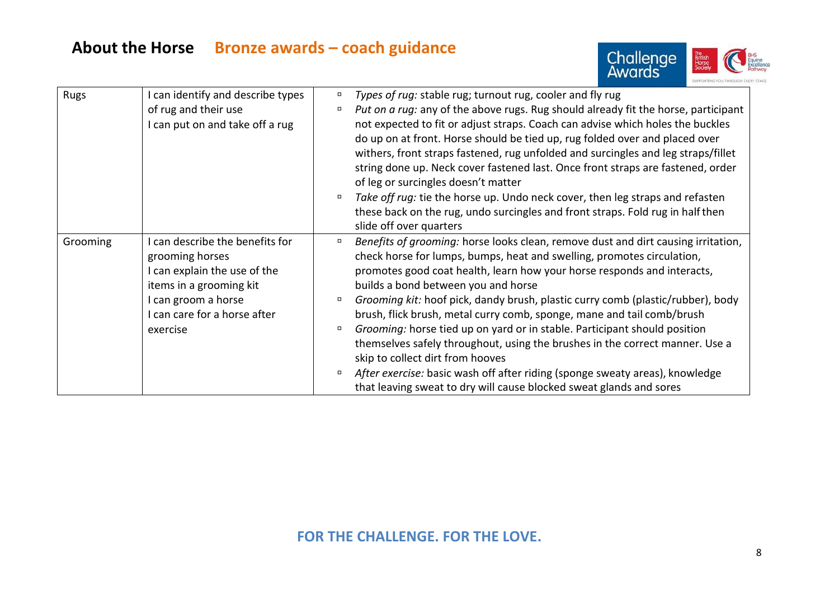

| Rugs     | I can identify and describe types | $\Box$ | Types of rug: stable rug; turnout rug, cooler and fly rug                                                                                                            |
|----------|-----------------------------------|--------|----------------------------------------------------------------------------------------------------------------------------------------------------------------------|
|          | of rug and their use              | $\Box$ | Put on a rug: any of the above rugs. Rug should already fit the horse, participant                                                                                   |
|          | I can put on and take off a rug   |        | not expected to fit or adjust straps. Coach can advise which holes the buckles<br>do up on at front. Horse should be tied up, rug folded over and placed over        |
|          |                                   |        | withers, front straps fastened, rug unfolded and surcingles and leg straps/fillet<br>string done up. Neck cover fastened last. Once front straps are fastened, order |
|          |                                   |        | of leg or surcingles doesn't matter                                                                                                                                  |
|          |                                   | α      | Take off rug: tie the horse up. Undo neck cover, then leg straps and refasten                                                                                        |
|          |                                   |        | these back on the rug, undo surcingles and front straps. Fold rug in half then                                                                                       |
|          |                                   |        | slide off over quarters                                                                                                                                              |
| Grooming | I can describe the benefits for   | $\Box$ | Benefits of grooming: horse looks clean, remove dust and dirt causing irritation,                                                                                    |
|          | grooming horses                   |        | check horse for lumps, bumps, heat and swelling, promotes circulation,                                                                                               |
|          | I can explain the use of the      |        | promotes good coat health, learn how your horse responds and interacts,                                                                                              |
|          | items in a grooming kit           |        | builds a bond between you and horse                                                                                                                                  |
|          | I can groom a horse               | $\Box$ | Grooming kit: hoof pick, dandy brush, plastic curry comb (plastic/rubber), body                                                                                      |
|          | I can care for a horse after      |        | brush, flick brush, metal curry comb, sponge, mane and tail comb/brush                                                                                               |
|          | exercise                          | $\Box$ | Grooming: horse tied up on yard or in stable. Participant should position                                                                                            |
|          |                                   |        | themselves safely throughout, using the brushes in the correct manner. Use a                                                                                         |
|          |                                   |        | skip to collect dirt from hooves                                                                                                                                     |
|          |                                   | α.     | After exercise: basic wash off after riding (sponge sweaty areas), knowledge<br>that leaving sweat to dry will cause blocked sweat glands and sores                  |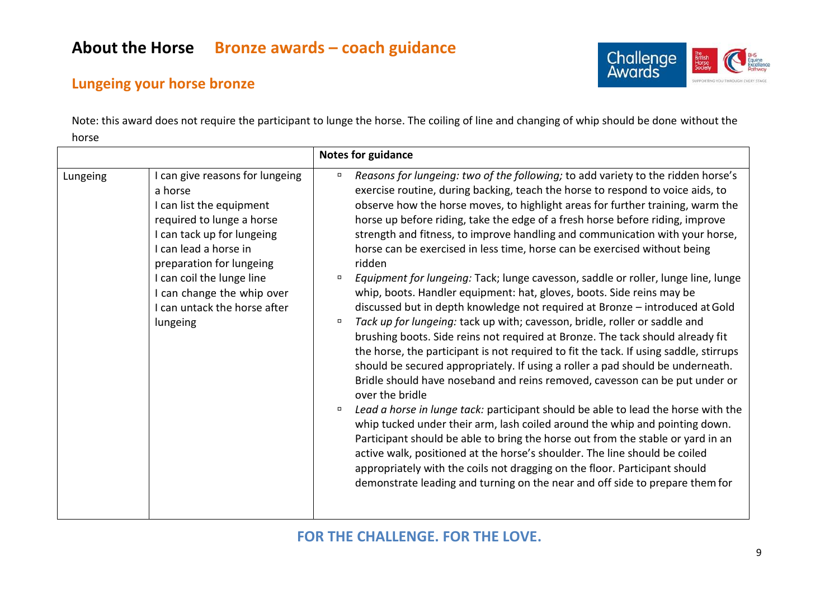

#### **Lungeing your horse bronze**

Note: this award does not require the participant to lunge the horse. The coiling of line and changing of whip should be done without the horse

|          |                                                                                                                                                                                                                                                                                             | <b>Notes for guidance</b>                                                                                                                                                                                                                                                                                                                                                                                                                                                                                                                                                                                                                                                                                                                                                                                                                                                                                                                                                                                                                                                                                                                                                                                                                                                                                                                                                                                                                                                                                                                                                                                                                                                                                                                          |
|----------|---------------------------------------------------------------------------------------------------------------------------------------------------------------------------------------------------------------------------------------------------------------------------------------------|----------------------------------------------------------------------------------------------------------------------------------------------------------------------------------------------------------------------------------------------------------------------------------------------------------------------------------------------------------------------------------------------------------------------------------------------------------------------------------------------------------------------------------------------------------------------------------------------------------------------------------------------------------------------------------------------------------------------------------------------------------------------------------------------------------------------------------------------------------------------------------------------------------------------------------------------------------------------------------------------------------------------------------------------------------------------------------------------------------------------------------------------------------------------------------------------------------------------------------------------------------------------------------------------------------------------------------------------------------------------------------------------------------------------------------------------------------------------------------------------------------------------------------------------------------------------------------------------------------------------------------------------------------------------------------------------------------------------------------------------------|
| Lungeing | can give reasons for lungeing<br>a horse<br>I can list the equipment<br>required to lunge a horse<br>I can tack up for lungeing<br>I can lead a horse in<br>preparation for lungeing<br>I can coil the lunge line<br>I can change the whip over<br>I can untack the horse after<br>lungeing | Reasons for lungeing: two of the following; to add variety to the ridden horse's<br>$\Box$<br>exercise routine, during backing, teach the horse to respond to voice aids, to<br>observe how the horse moves, to highlight areas for further training, warm the<br>horse up before riding, take the edge of a fresh horse before riding, improve<br>strength and fitness, to improve handling and communication with your horse,<br>horse can be exercised in less time, horse can be exercised without being<br>ridden<br>Equipment for lungeing: Tack; lunge cavesson, saddle or roller, lunge line, lunge<br>$\Box$<br>whip, boots. Handler equipment: hat, gloves, boots. Side reins may be<br>discussed but in depth knowledge not required at Bronze - introduced at Gold<br>Tack up for lungeing: tack up with; cavesson, bridle, roller or saddle and<br>$\Box$<br>brushing boots. Side reins not required at Bronze. The tack should already fit<br>the horse, the participant is not required to fit the tack. If using saddle, stirrups<br>should be secured appropriately. If using a roller a pad should be underneath.<br>Bridle should have noseband and reins removed, cavesson can be put under or<br>over the bridle<br>Lead a horse in lunge tack: participant should be able to lead the horse with the<br>$\Box$<br>whip tucked under their arm, lash coiled around the whip and pointing down.<br>Participant should be able to bring the horse out from the stable or yard in an<br>active walk, positioned at the horse's shoulder. The line should be coiled<br>appropriately with the coils not dragging on the floor. Participant should<br>demonstrate leading and turning on the near and off side to prepare them for |